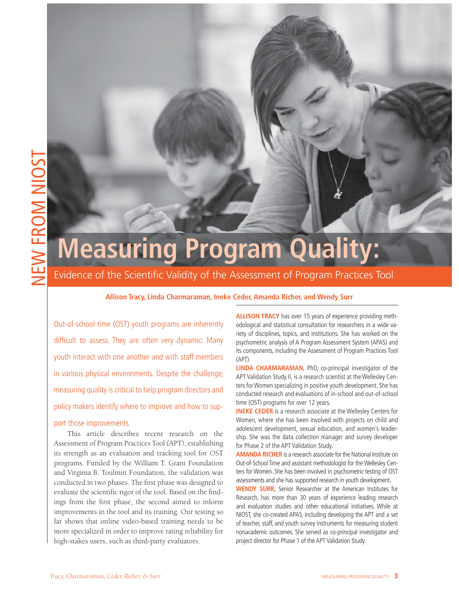# **Measuring Program Quality:**

Evidence of the Scientific Validity of the Assessment of Program Practices Tool

## **Allison Tracy, Linda Charmaraman, Ineke Ceder, Amanda Richer, and Wendy Surr**

Out-of-school time (OST) youth programs are inherently difficult to assess. They are often very dynamic: Many youth interact with one another and with staff members in various physical environments. Despite the challenge, measuring quality is critical to help program directors and policy makers identify where to improve and how to support those improvements.

This article describes recent research on the Assessment of Program Practices Tool (APT), establishing its strength as an evaluation and tracking tool for OST programs. Funded by the William T. Grant Foundation and Virginia B. Toulmin Foundation, the validation was conducted in two phases. The first phase was designed to evaluate the scientific rigor of the tool. Based on the findings from the first phase, the second aimed to inform improvements in the tool and its training. Our testing so far shows that online video-based training needs to be more specialized in order to improve rating reliability for high-stakes users, such as third-party evaluators.

**ALLISON TRACY** has over 15 years of experience providing methodological and statistical consultation for researchers in a wide variety of disciplines, topics, and institutions. She has worked on the psychometric analysis of A Program Assessment System (APAS) and its components, including the Assessment of Program Practices Tool (APT).

**LINDA CHARMARAMAN,** PhD, co-principal investigator of the APT Validation Study II, is a research scientist at the Wellesley Centers for Women specializing in positive youth development. She has conducted research and evaluations of in-school and out-of-school time (OST) programs for over 12 years.

**INEKE CEDER** is a research associate at the Wellesley Centers for Women, where she has been involved with projects on child and adolescent development, sexual education, and women's leadership. She was the data collection manager and survey developer for Phase 2 of the APT Validation Study.

**AMANDA RICHER** is a research associate for the National Institute on Out-of-School Time and assistant methodologist for the Wellesley Centers for Women. She has been involved in psychometric testing of OST assessments and she has supported research in youth development.

**WENDY SURR,** Senior Researcher at the American Institutes for Research, has more than 30 years of experience leading research and evaluation studies and other educational initiatives. While at NIOST, she co-created APAS, including developing the APT and a set of teacher, staff, and youth survey instruments for measuring student nonacademic outcomes. She served as co-principal investigator and project director for Phase 1 of the APT Validation Study.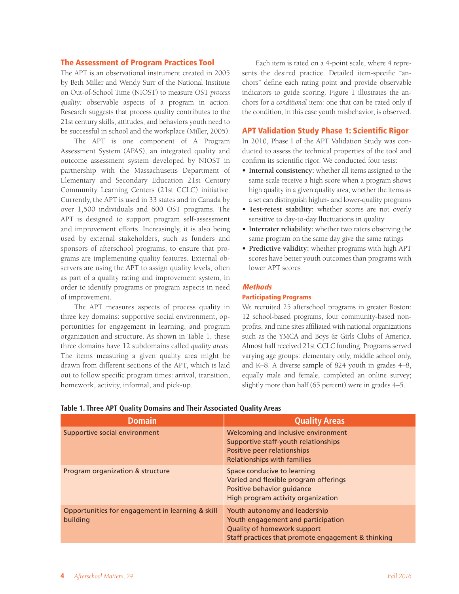#### **The Assessment of Program Practices Tool**

The APT is an observational instrument created in 2005 by Beth Miller and Wendy Surr of the National Institute on Out-of-School Time (NIOST) to measure OST *process quality:* observable aspects of a program in action. Research suggests that process quality contributes to the 21st century skills, attitudes, and behaviors youth need to be successful in school and the workplace (Miller, 2005).

The APT is one component of A Program Assessment System (APAS), an integrated quality and outcome assessment system developed by NIOST in partnership with the Massachusetts Department of Elementary and Secondary Education 21st Century Community Learning Centers (21st CCLC) initiative. Currently, the APT is used in 33 states and in Canada by over 1,500 individuals and 600 OST programs. The APT is designed to support program self-assessment and improvement efforts. Increasingly, it is also being used by external stakeholders, such as funders and sponsors of afterschool programs, to ensure that programs are implementing quality features. External observers are using the APT to assign quality levels, often as part of a quality rating and improvement system, in order to identify programs or program aspects in need of improvement.

The APT measures aspects of process quality in three key domains: supportive social environment, opportunities for engagement in learning, and program organization and structure. As shown in Table 1, these three domains have 12 subdomains called *quality areas*. The items measuring a given quality area might be drawn from different sections of the APT, which is laid out to follow specific program times: arrival, transition, homework, activity, informal, and pick-up.

Each item is rated on a 4-point scale, where 4 represents the desired practice. Detailed item-specific "anchors" define each rating point and provide observable indicators to guide scoring. Figure 1 illustrates the anchors for a *conditional* item: one that can be rated only if the condition, in this case youth misbehavior, is observed.

## **APT Validation Study Phase 1: Scientific Rigor**

In 2010, Phase I of the APT Validation Study was conducted to assess the technical properties of the tool and confirm its scientific rigor. We conducted four tests:

- **Internal consistency:** whether all items assigned to the same scale receive a high score when a program shows high quality in a given quality area; whether the items as a set can distinguish higher- and lower-quality programs
- **Test-retest stability:** whether scores are not overly sensitive to day-to-day fluctuations in quality
- **Interrater reliability:** whether two raters observing the same program on the same day give the same ratings
- **Predictive validity:** whether programs with high APT scores have better youth outcomes than programs with lower APT scores

#### **Methods**

## **Participating Programs**

We recruited 25 afterschool programs in greater Boston: 12 school-based programs, four community-based nonprofits, and nine sites affiliated with national organizations such as the YMCA and Boys & Girls Clubs of America. Almost half received 21st CCLC funding. Programs served varying age groups: elementary only, middle school only, and K–8. A diverse sample of 824 youth in grades 4–8, equally male and female, completed an online survey; slightly more than half (65 percent) were in grades 4–5.

| <b>Domain</b>                                                | <b>Quality Areas</b>                                                                                                                                     |
|--------------------------------------------------------------|----------------------------------------------------------------------------------------------------------------------------------------------------------|
| Supportive social environment                                | Welcoming and inclusive environment<br>Supportive staff-youth relationships<br>Positive peer relationships<br><b>Relationships with families</b>         |
| Program organization & structure                             | Space conducive to learning<br>Varied and flexible program offerings<br>Positive behavior guidance<br>High program activity organization                 |
| Opportunities for engagement in learning & skill<br>building | Youth autonomy and leadership<br>Youth engagement and participation<br>Quality of homework support<br>Staff practices that promote engagement & thinking |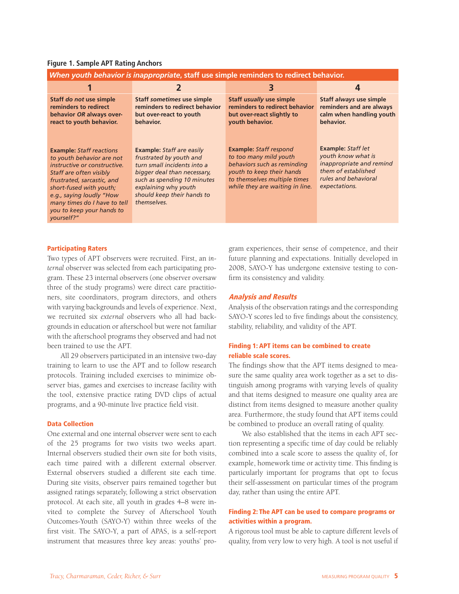|  |  |  | <b>Figure 1. Sample APT Rating Anchors</b> |
|--|--|--|--------------------------------------------|
|  |  |  |                                            |

| When youth behavior is inappropriate, staff use simple reminders to redirect behavior.                                                                                                                                                                                                  |                                                                                                                                                                                                                               |                                                                                                                                                                                        |                                                                                                                                             |  |  |  |  |
|-----------------------------------------------------------------------------------------------------------------------------------------------------------------------------------------------------------------------------------------------------------------------------------------|-------------------------------------------------------------------------------------------------------------------------------------------------------------------------------------------------------------------------------|----------------------------------------------------------------------------------------------------------------------------------------------------------------------------------------|---------------------------------------------------------------------------------------------------------------------------------------------|--|--|--|--|
|                                                                                                                                                                                                                                                                                         |                                                                                                                                                                                                                               | З                                                                                                                                                                                      | 4                                                                                                                                           |  |  |  |  |
| Staff do not use simple<br>reminders to redirect<br>behavior OR always over-<br>react to youth behavior.                                                                                                                                                                                | Staff sometimes use simple<br>reminders to redirect behavior<br>but over-react to youth<br>behavior.                                                                                                                          | <b>Staff usually use simple</b><br>reminders to redirect behavior<br>but over-react slightly to<br>vouth behavior.                                                                     | Staff always use simple<br>reminders and are always<br>calm when handling youth<br>behavior.                                                |  |  |  |  |
| <b>Example: Staff reactions</b><br>to youth behavior are not<br>instructive or constructive.<br>Staff are often visibly<br>frustrated, sarcastic, and<br>short-fused with youth;<br>e.g., saying loudly "How<br>many times do I have to tell<br>you to keep your hands to<br>yourself?" | <b>Example:</b> Staff are easily<br>frustrated by youth and<br>turn small incidents into a<br>bigger deal than necessary,<br>such as spending 10 minutes<br>explaining why youth<br>should keep their hands to<br>themselves. | <b>Example: Staff respond</b><br>to too many mild youth<br>behaviors such as reminding<br>youth to keep their hands<br>to themselves multiple times<br>while they are waiting in line. | <b>Example: Staff let</b><br>youth know what is<br>inappropriate and remind<br>them of established<br>rules and behavioral<br>expectations. |  |  |  |  |

#### **Participating Raters**

Two types of APT observers were recruited. First, an *internal* observer was selected from each participating program. These 23 internal observers (one observer oversaw three of the study programs) were direct care practitioners, site coordinators, program directors, and others with varying backgrounds and levels of experience. Next, we recruited six *external* observers who all had backgrounds in education or afterschool but were not familiar with the afterschool programs they observed and had not been trained to use the APT.

All 29 observers participated in an intensive two-day training to learn to use the APT and to follow research protocols. Training included exercises to minimize observer bias, games and exercises to increase facility with the tool, extensive practice rating DVD clips of actual programs, and a 90-minute live practice field visit.

#### **Data Collection**

One external and one internal observer were sent to each of the 25 programs for two visits two weeks apart. Internal observers studied their own site for both visits, each time paired with a different external observer. External observers studied a different site each time. During site visits, observer pairs remained together but assigned ratings separately, following a strict observation protocol. At each site, all youth in grades 4–8 were invited to complete the Survey of Afterschool Youth Outcomes-Youth (SAYO-Y) within three weeks of the first visit. The SAYO-Y, a part of APAS, is a self-report instrument that measures three key areas: youths' program experiences, their sense of competence, and their future planning and expectations. Initially developed in 2008, SAYO-Y has undergone extensive testing to confirm its consistency and validity.

#### **Analysis and Results**

Analysis of the observation ratings and the corresponding SAYO-Y scores led to five findings about the consistency, stability, reliability, and validity of the APT.

# **Finding 1: APT items can be combined to create reliable scale scores.**

The findings show that the APT items designed to measure the same quality area work together as a set to distinguish among programs with varying levels of quality and that items designed to measure one quality area are distinct from items designed to measure another quality area. Furthermore, the study found that APT items could be combined to produce an overall rating of quality.

We also established that the items in each APT section representing a specific time of day could be reliably combined into a scale score to assess the quality of, for example, homework time or activity time. This finding is particularly important for programs that opt to focus their self-assessment on particular times of the program day, rather than using the entire APT.

# **Finding 2: The APT can be used to compare programs or activities within a program.**

A rigorous tool must be able to capture different levels of quality, from very low to very high. A tool is not useful if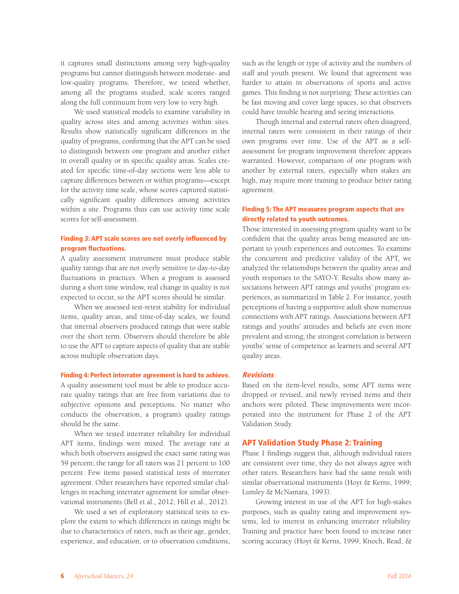it captures small distinctions among very high-quality programs but cannot distinguish between moderate- and low-quality programs. Therefore, we tested whether, among all the programs studied, scale scores ranged along the full continuum from very low to very high.

We used statistical models to examine variability in quality across sites and among activities within sites. Results show statistically significant differences in the quality of programs, confirming that the APT can be used to distinguish between one program and another either in overall quality or in specific quality areas. Scales created for specific time-of-day sections were less able to capture differences between or within programs—except for the activity time scale, whose scores captured statistically significant quality differences among activities within a site. Programs thus can use activity time scale scores for self-assessment.

## **Finding 3: APT scale scores are not overly influenced by program fluctuations.**

A quality assessment instrument must produce stable quality ratings that are not overly sensitive to day-to-day fluctuations in practices. When a program is assessed during a short time window, real change in quality is not expected to occur, so the APT scores should be similar.

When we assessed test-retest stability for individual items, quality areas, and time-of-day scales, we found that internal observers produced ratings that were stable over the short term. Observers should therefore be able to use the APT to capture aspects of quality that are stable across multiple observation days.

#### **Finding 4: Perfect interrater agreement is hard to achieve.**

A quality assessment tool must be able to produce accurate quality ratings that are free from variations due to subjective opinions and perceptions. No matter who conducts the observation, a program's quality ratings should be the same.

When we tested interrater reliability for individual APT items, findings were mixed. The average rate at which both observers assigned the exact same rating was 59 percent; the range for all raters was 21 percent to 100 percent. Few items passed statistical tests of interrater agreement. Other researchers have reported similar challenges in reaching interrater agreement for similar observational instruments (Bell et al., 2012; Hill et al., 2012).

We used a set of exploratory statistical tests to explore the extent to which differences in ratings might be due to characteristics of raters, such as their age, gender, experience, and education, or to observation conditions, such as the length or type of activity and the numbers of staff and youth present. We found that agreement was harder to attain in observations of sports and active games. This finding is not surprising: These activities can be fast moving and cover large spaces, so that observers could have trouble hearing and seeing interactions.

Though internal and external raters often disagreed, internal raters were consistent in their ratings of their own programs over time. Use of the APT as a selfassessment for program improvement therefore appears warranted. However, comparison of one program with another by external raters, especially when stakes are high, may require more training to produce better rating agreement.

# **Finding 5: The APT measures program aspects that are directly related to youth outcomes.**

Those interested in assessing program quality want to be confident that the quality areas being measured are important to youth experiences and outcomes. To examine the concurrent and predictive validity of the APT, we analyzed the relationships between the quality areas and youth responses to the SAYO-Y. Results show many associations between APT ratings and youths' program experiences, as summarized in Table 2. For instance, youth perceptions of having a supportive adult show numerous connections with APT ratings. Associations between APT ratings and youths' attitudes and beliefs are even more prevalent and strong; the strongest correlation is between youths' sense of competence as learners and several APT quality areas.

## **Revisions**

Based on the item-level results, some APT items were dropped or revised, and newly revised items and their anchors were piloted. These improvements were incorporated into the instrument for Phase 2 of the APT Validation Study.

## **APT Validation Study Phase 2: Training**

Phase 1 findings suggest that, although individual raters are consistent over time, they do not always agree with other raters. Researchers have had the same result with similar observational instruments (Hoyt & Kerns, 1999; Lumley & McNamara, 1993).

Growing interest in use of the APT for high-stakes purposes, such as quality rating and improvement systems, led to interest in enhancing interrater reliability. Training and practice have been found to increase rater scoring accuracy (Hoyt & Kerns, 1999; Knoch, Read, &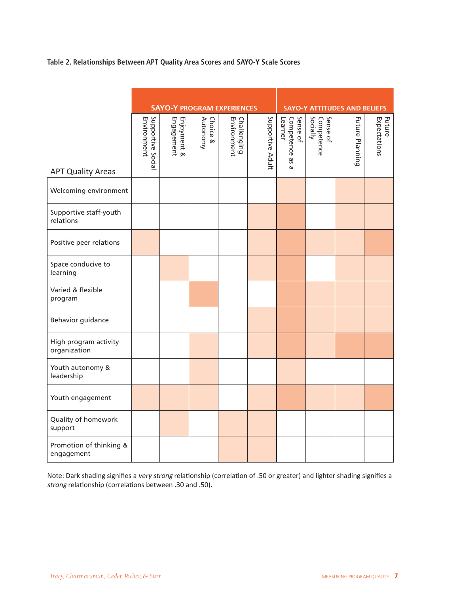**Table 2. Relationships Between APT Quality Area Scores and SAYO-Y Scale Scores**

|                                       | <b>SAYO-Y PROGRAM EXPERIENCES</b> |                           |                         |                            | <b>SAYO-Y ATTITUDES AND BELIEFS</b> |                                                     |                                    |                        |                        |
|---------------------------------------|-----------------------------------|---------------------------|-------------------------|----------------------------|-------------------------------------|-----------------------------------------------------|------------------------------------|------------------------|------------------------|
| <b>APT Quality Areas</b>              | Supportive Social<br>Environment  | Enjoyment &<br>Engagement | Choice<br>Autonomy<br>⊗ | Environment<br>Challenging | Supportive Adult                    | Sense of<br>Competence<br>Learner<br>9S<br>$\omega$ | Socially<br>Sense of<br>Competence | <b>Future Planning</b> | Expectations<br>Future |
| Welcoming environment                 |                                   |                           |                         |                            |                                     |                                                     |                                    |                        |                        |
| Supportive staff-youth<br>relations   |                                   |                           |                         |                            |                                     |                                                     |                                    |                        |                        |
| Positive peer relations               |                                   |                           |                         |                            |                                     |                                                     |                                    |                        |                        |
| Space conducive to<br>learning        |                                   |                           |                         |                            |                                     |                                                     |                                    |                        |                        |
| Varied & flexible<br>program          |                                   |                           |                         |                            |                                     |                                                     |                                    |                        |                        |
| Behavior guidance                     |                                   |                           |                         |                            |                                     |                                                     |                                    |                        |                        |
| High program activity<br>organization |                                   |                           |                         |                            |                                     |                                                     |                                    |                        |                        |
| Youth autonomy &<br>leadership        |                                   |                           |                         |                            |                                     |                                                     |                                    |                        |                        |
| Youth engagement                      |                                   |                           |                         |                            |                                     |                                                     |                                    |                        |                        |
| Quality of homework<br>support        |                                   |                           |                         |                            |                                     |                                                     |                                    |                        |                        |
| Promotion of thinking &<br>engagement |                                   |                           |                         |                            |                                     |                                                     |                                    |                        |                        |

Note: Dark shading signifies a very strong relationship (correlation of .50 or greater) and lighter shading signifies a strong relationship (correlations between .30 and .50).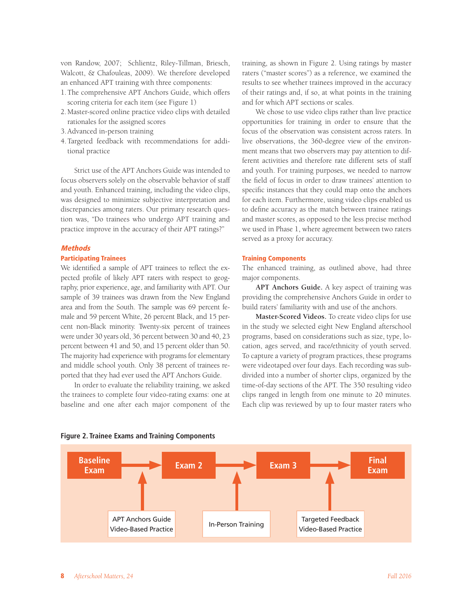von Randow, 2007; Schlientz, Riley-Tillman, Briesch, Walcott, & Chafouleas, 2009). We therefore developed an enhanced APT training with three components:

- 1. The comprehensive APT Anchors Guide, which offers scoring criteria for each item (see Figure 1)
- 2. Master-scored online practice video clips with detailed rationales for the assigned scores
- 3. Advanced in-person training
- 4. Targeted feedback with recommendations for additional practice

Strict use of the APT Anchors Guide was intended to focus observers solely on the observable behavior of staff and youth. Enhanced training, including the video clips, was designed to minimize subjective interpretation and discrepancies among raters. Our primary research question was, "Do trainees who undergo APT training and practice improve in the accuracy of their APT ratings?"

#### **Methods**

## **Participating Trainees**

We identified a sample of APT trainees to reflect the expected profile of likely APT raters with respect to geography, prior experience, age, and familiarity with APT. Our sample of 39 trainees was drawn from the New England area and from the South. The sample was 69 percent female and 59 percent White, 26 percent Black, and 15 percent non-Black minority. Twenty-six percent of trainees were under 30 years old, 36 percent between 30 and 40, 23 percent between 41 and 50, and 15 percent older than 50. The majority had experience with programs for elementary and middle school youth. Only 38 percent of trainees reported that they had ever used the APT Anchors Guide.

In order to evaluate the reliability training, we asked the trainees to complete four video-rating exams: one at baseline and one after each major component of the

training, as shown in Figure 2. Using ratings by master raters ("master scores") as a reference, we examined the results to see whether trainees improved in the accuracy of their ratings and, if so, at what points in the training and for which APT sections or scales.

We chose to use video clips rather than live practice opportunities for training in order to ensure that the focus of the observation was consistent across raters. In live observations, the 360-degree view of the environment means that two observers may pay attention to different activities and therefore rate different sets of staff and youth. For training purposes, we needed to narrow the field of focus in order to draw trainees' attention to specific instances that they could map onto the anchors for each item. Furthermore, using video clips enabled us to define accuracy as the match between trainee ratings and master scores, as opposed to the less precise method we used in Phase 1, where agreement between two raters served as a proxy for accuracy.

#### **Training Components**

The enhanced training, as outlined above, had three major components.

**APT Anchors Guide.** A key aspect of training was providing the comprehensive Anchors Guide in order to build raters' familiarity with and use of the anchors.

**Master-Scored Videos.** To create video clips for use in the study we selected eight New England afterschool programs, based on considerations such as size, type, location, ages served, and race/ethnicity of youth served. To capture a variety of program practices, these programs were videotaped over four days. Each recording was subdivided into a number of shorter clips, organized by the time-of-day sections of the APT. The 350 resulting video clips ranged in length from one minute to 20 minutes. Each clip was reviewed by up to four master raters who



#### **Figure 2. Trainee Exams and Training Components**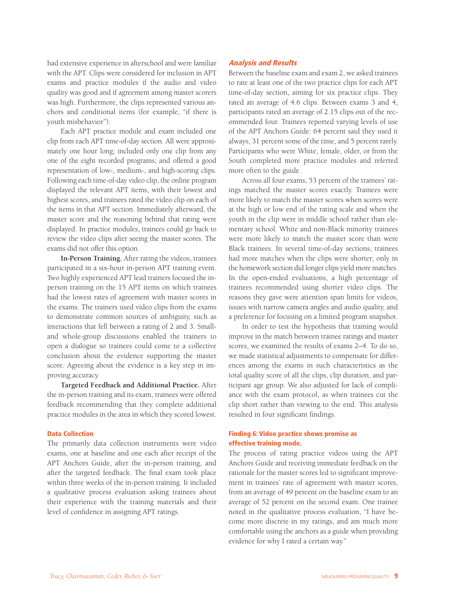had extensive experience in afterschool and were familiar with the APT. Clips were considered for inclusion in APT exams and practice modules if the audio and video quality was good and if agreement among master scorers was high. Furthermore, the clips represented various anchors and conditional items (for example, "if there is youth misbehavior").

Each APT practice module and exam included one clip from each APT time-of-day section. All were approximately one hour long; included only one clip from any one of the eight recorded programs; and offered a good representation of low-, medium-, and high-scoring clips. Following each time-of-day video clip, the online program displayed the relevant APT items, with their lowest and highest scores, and trainees rated the video clip on each of the items in that APT section. Immediately afterward, the master score and the reasoning behind that rating were displayed. In practice modules, trainees could go back to review the video clips after seeing the master scores. The exams did not offer this option.

**In-Person Training.** After rating the videos, trainees participated in a six-hour in-person APT training event. Two highly experienced APT lead trainers focused the inperson training on the 15 APT items on which trainees had the lowest rates of agreement with master scores in the exams. The trainers used video clips from the exams to demonstrate common sources of ambiguity, such as interactions that fell between a rating of 2 and 3. Smalland whole-group discussions enabled the trainers to open a dialogue so trainees could come to a collective conclusion about the evidence supporting the master score. Agreeing about the evidence is a key step in improving accuracy.

**Targeted Feedback and Additional Practice.** After the in-person training and its exam, trainees were offered feedback recommending that they complete additional practice modules in the area in which they scored lowest.

#### **Data Collection**

The primarily data collection instruments were video exams, one at baseline and one each after receipt of the APT Anchors Guide, after the in-person training, and after the targeted feedback. The final exam took place within three weeks of the in-person training. It included a qualitative process evaluation asking trainees about their experience with the training materials and their level of confidence in assigning APT ratings.

#### **Analysis and Results**

Between the baseline exam and exam 2, we asked trainees to rate at least one of the two practice clips for each APT time-of-day section, aiming for six practice clips. They rated an average of 4.6 clips. Between exams 3 and 4, participants rated an average of 2.15 clips out of the recommended four. Trainees reported varying levels of use of the APT Anchors Guide: 64 percent said they used it always, 31 percent some of the time, and 5 percent rarely. Participants who were White, female, older, or from the South completed more practice modules and referred more often to the guide.

Across all four exams, 53 percent of the trainees' ratings matched the master scores exactly. Trainees were more likely to match the master scores when scores were at the high or low end of the rating scale and when the youth in the clip were in middle school rather than elementary school. White and non-Black minority trainees were more likely to match the master score than were Black trainees. In several time-of-day sections, trainees had more matches when the clips were shorter; only in the homework section did longer clips yield more matches. In the open-ended evaluations, a high percentage of trainees recommended using shorter video clips. The reasons they gave were attention span limits for videos, issues with narrow camera angles and audio quality, and a preference for focusing on a limited program snapshot.

In order to test the hypothesis that training would improve in the match between trainee ratings and master scores, we examined the results of exams 2–4. To do so, we made statistical adjustments to compensate for differences among the exams in such characteristics as the total quality score of all the clips, clip duration, and participant age group. We also adjusted for lack of compliance with the exam protocol, as when trainees cut the clip short rather than viewing to the end. This analysis resulted in four significant findings.

# **Finding 6: Video practice shows promise as effective training mode.**

The process of rating practice videos using the APT Anchors Guide and receiving immediate feedback on the rationale for the master scores led to significant improvement in trainees' rate of agreement with master scores, from an average of 49 percent on the baseline exam to an average of 52 percent on the second exam. One trainee noted in the qualitative process evaluation, "I have become more discrete in my ratings, and am much more comfortable using the anchors as a guide when providing evidence for why I rated a certain way."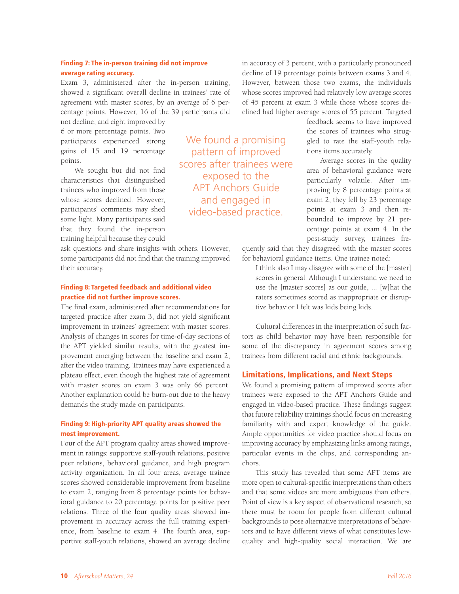# **Finding 7: The in-person training did not improve average rating accuracy.**

Exam 3, administered after the in-person training, showed a significant overall decline in trainees' rate of agreement with master scores, by an average of 6 percentage points. However, 16 of the 39 participants did

not decline, and eight improved by 6 or more percentage points. Two participants experienced strong gains of 15 and 19 percentage points.

We sought but did not find characteristics that distinguished trainees who improved from those whose scores declined. However, participants' comments may shed some light. Many participants said that they found the in-person training helpful because they could

ask questions and share insights with others. However, some participants did not find that the training improved their accuracy.

## **Finding 8: Targeted feedback and additional video practice did not further improve scores.**

The final exam, administered after recommendations for targeted practice after exam 3, did not yield significant improvement in trainees' agreement with master scores. Analysis of changes in scores for time-of-day sections of the APT yielded similar results, with the greatest improvement emerging between the baseline and exam 2, after the video training. Trainees may have experienced a plateau effect, even though the highest rate of agreement with master scores on exam 3 was only 66 percent. Another explanation could be burn-out due to the heavy demands the study made on participants.

# **Finding 9: High-priority APT quality areas showed the most improvement.**

Four of the APT program quality areas showed improvement in ratings: supportive staff-youth relations, positive peer relations, behavioral guidance, and high program activity organization. In all four areas, average trainee scores showed considerable improvement from baseline to exam 2, ranging from 8 percentage points for behavioral guidance to 20 percentage points for positive peer relations. Three of the four quality areas showed improvement in accuracy across the full training experience, from baseline to exam 4. The fourth area, supportive staff-youth relations, showed an average decline

We found a promising pattern of improved scores after trainees were exposed to the APT Anchors Guide and engaged in video-based practice.

in accuracy of 3 percent, with a particularly pronounced decline of 19 percentage points between exams 3 and 4. However, between those two exams, the individuals whose scores improved had relatively low average scores of 45 percent at exam 3 while those whose scores declined had higher average scores of 55 percent. Targeted

> feedback seems to have improved the scores of trainees who struggled to rate the staff-youth relations items accurately.

> Average scores in the quality area of behavioral guidance were particularly volatile. After improving by 8 percentage points at exam 2, they fell by 23 percentage points at exam 3 and then rebounded to improve by 21 percentage points at exam 4. In the post-study survey, trainees fre-

quently said that they disagreed with the master scores for behavioral guidance items. One trainee noted:

I think also I may disagree with some of the [master] scores in general. Although I understand we need to use the [master scores] as our guide, ... [w]hat the raters sometimes scored as inappropriate or disruptive behavior I felt was kids being kids.

Cultural differences in the interpretation of such factors as child behavior may have been responsible for some of the discrepancy in agreement scores among trainees from different racial and ethnic backgrounds.

# **Limitations, Implications, and Next Steps**

We found a promising pattern of improved scores after trainees were exposed to the APT Anchors Guide and engaged in video-based practice. These findings suggest that future reliability trainings should focus on increasing familiarity with and expert knowledge of the guide. Ample opportunities for video practice should focus on improving accuracy by emphasizing links among ratings, particular events in the clips, and corresponding anchors.

This study has revealed that some APT items are more open to cultural-specific interpretations than others and that some videos are more ambiguous than others. Point of view is a key aspect of observational research, so there must be room for people from different cultural backgrounds to pose alternative interpretations of behaviors and to have different views of what constitutes lowquality and high-quality social interaction. We are